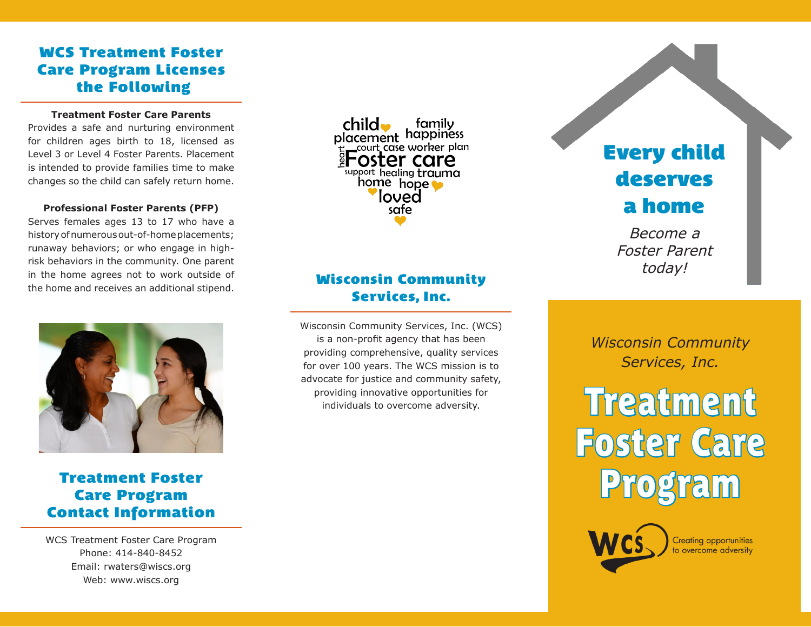## **WCS Treatment Foster Care Program Licenses the Following**

#### **Treatment Foster Care Parents**

Provides a safe and nurturing environment for children ages birth to 18, licensed as Level 3 or Level 4 Foster Parents. Placement is intended to provide families time to make changes so the child can safely return home.

#### **Professional Foster Parents (PFP)**

Serves females ages 13 to 17 who have a history of numerous out-of-home placements; runaway behaviors; or who engage in highrisk behaviors in the community. One parent in the home agrees not to work outside of the home and receives an additional stipend.



## **Treatment Foster Care Program Contact Information**

WCS Treatment Foster Care Program Phone: 414-840-8452 Email: rwaters@wiscs.org Web: www.wiscs.org

 $child\bullet$ family placement happiness \_court case worker plan 'oster care support healing trauma home hope loved safe

## **Wisconsin Community Services, Inc.**

Wisconsin Community Services, Inc. (WCS) is a non-profit agency that has been providing comprehensive, quality services for over 100 years. The WCS mission is to advocate for justice and community safety, providing innovative opportunities for individuals to overcome adversity.

**Every child deserves a home**

Become a Foster Parent today!

*Wisconsin Community Services, Inc.*

Treatment Foster Care Program



**Creating opportunities** to overcome adversity